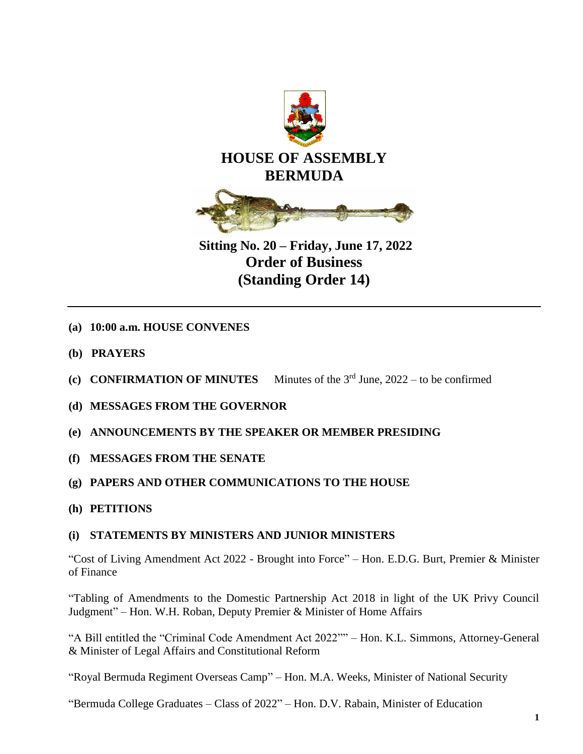

**Sitting No. 20 – Friday, June 17, 2022 Order of Business (Standing Order 14)**

- **(a) 10:00 a.m. HOUSE CONVENES**
- **(b) PRAYERS**
- (c) **CONFIRMATION OF MINUTES** Minutes of the  $3<sup>rd</sup>$  June, 2022 to be confirmed
- **(d) MESSAGES FROM THE GOVERNOR**
- **(e) ANNOUNCEMENTS BY THE SPEAKER OR MEMBER PRESIDING**
- **(f) MESSAGES FROM THE SENATE**
- **(g) PAPERS AND OTHER COMMUNICATIONS TO THE HOUSE**
- **(h) PETITIONS**

# **(i) STATEMENTS BY MINISTERS AND JUNIOR MINISTERS**

"Cost of Living Amendment Act 2022 - Brought into Force" – Hon. E.D.G. Burt, Premier & Minister of Finance

"Tabling of Amendments to the Domestic Partnership Act 2018 in light of the UK Privy Council Judgment" – Hon. W.H. Roban, Deputy Premier & Minister of Home Affairs

"A Bill entitled the "Criminal Code Amendment Act 2022"" – Hon. K.L. Simmons, Attorney-General & Minister of Legal Affairs and Constitutional Reform

"Royal Bermuda Regiment Overseas Camp" – Hon. M.A. Weeks, Minister of National Security

"Bermuda College Graduates – Class of 2022" – Hon. D.V. Rabain, Minister of Education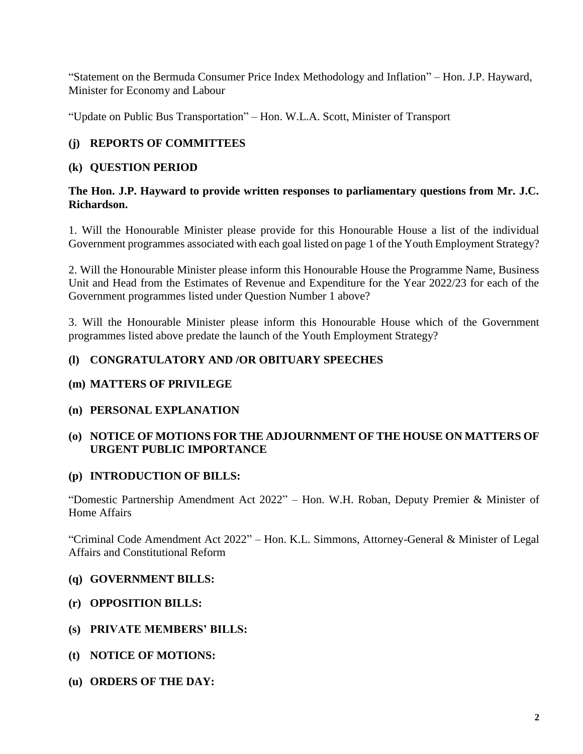"Statement on the Bermuda Consumer Price Index Methodology and Inflation" – Hon. J.P. Hayward, Minister for Economy and Labour

"Update on Public Bus Transportation" – Hon. W.L.A. Scott, Minister of Transport

# **(j) REPORTS OF COMMITTEES**

### **(k) QUESTION PERIOD**

### **The Hon. J.P. Hayward to provide written responses to parliamentary questions from Mr. J.C. Richardson.**

1. Will the Honourable Minister please provide for this Honourable House a list of the individual Government programmes associated with each goal listed on page 1 of the Youth Employment Strategy?

2. Will the Honourable Minister please inform this Honourable House the Programme Name, Business Unit and Head from the Estimates of Revenue and Expenditure for the Year 2022/23 for each of the Government programmes listed under Question Number 1 above?

3. Will the Honourable Minister please inform this Honourable House which of the Government programmes listed above predate the launch of the Youth Employment Strategy?

### **(l) CONGRATULATORY AND /OR OBITUARY SPEECHES**

### **(m) MATTERS OF PRIVILEGE**

### **(n) PERSONAL EXPLANATION**

# **(o) NOTICE OF MOTIONS FOR THE ADJOURNMENT OF THE HOUSE ON MATTERS OF URGENT PUBLIC IMPORTANCE**

# **(p) INTRODUCTION OF BILLS:**

"Domestic Partnership Amendment Act 2022" – Hon. W.H. Roban, Deputy Premier & Minister of Home Affairs

"Criminal Code Amendment Act 2022" – Hon. K.L. Simmons, Attorney-General & Minister of Legal Affairs and Constitutional Reform

- **(q) GOVERNMENT BILLS:**
- **(r) OPPOSITION BILLS:**
- **(s) PRIVATE MEMBERS' BILLS:**
- **(t) NOTICE OF MOTIONS:**
- **(u) ORDERS OF THE DAY:**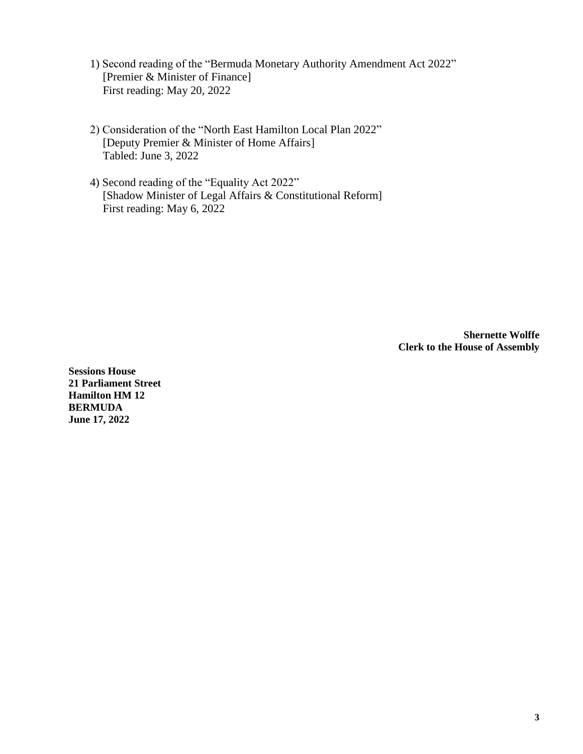- 1) Second reading of the "Bermuda Monetary Authority Amendment Act 2022" [Premier & Minister of Finance] First reading: May 20, 2022
- 2) Consideration of the "North East Hamilton Local Plan 2022" [Deputy Premier & Minister of Home Affairs] Tabled: June 3, 2022
- 4) Second reading of the "Equality Act 2022" [Shadow Minister of Legal Affairs & Constitutional Reform] First reading: May 6, 2022

**Shernette Wolffe Clerk to the House of Assembly**

**Sessions House 21 Parliament Street Hamilton HM 12 BERMUDA June 17, 2022**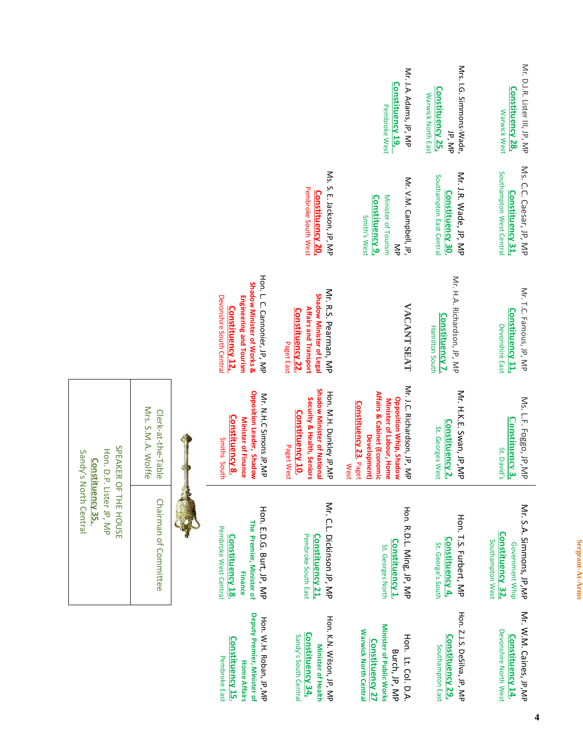|                                          |                                                                                                                                             |                                                                                                                                 | Mr. J.A. Adams, JP, MP<br><b>Constituency 19,</b><br>Pembroke West                                                                                                                 | Mrs. I.G. Simmons-Wade,<br><b>Constituency 25,</b><br>Warwick North East<br>JP, MP | NP. D. J.R. Lister III, JP, NP<br>Constituency 28,<br>Warwick West                        |
|------------------------------------------|---------------------------------------------------------------------------------------------------------------------------------------------|---------------------------------------------------------------------------------------------------------------------------------|------------------------------------------------------------------------------------------------------------------------------------------------------------------------------------|------------------------------------------------------------------------------------|-------------------------------------------------------------------------------------------|
|                                          |                                                                                                                                             | Ms. S. E. Jackson, JP, MP<br>Pembroke South West<br>Constituency 20,                                                            | Mr. V.M. Campbell, JP.<br>Minister of Tourism<br><b>Constituency 9.</b><br>Smith's West<br>$\leqq$                                                                                 | Mr. J.R. Wade, JP, MP<br>Southampton East Centra<br><b>Constituency 30</b>         | Ms. C.C. Caesar, JP, MP<br>Southampton West Centra<br><b>Constituency 31</b>              |
|                                          | Hon. L. C. Cannonier, JP, MP<br>Shadow Minister of Works &<br>Devonshire South Centra<br>Engineering and Tourism<br><b>Constituency 12,</b> | Mr. R.S. Pearman, MP<br>Shadow Minister of Lega<br><b>Affairs and Transport</b><br><b>Constituency 22</b><br>Paget East         | <b>VACANT SEAT</b>                                                                                                                                                                 | Mr. H.A. Richardson, JP, MP<br><b>Constituency 7,</b><br><b>Hamilton South</b>     | Mr. T.C. Famous, JP, MP<br><b>Constituency 11</b> ,<br>Devonshire East                    |
| Mrs. S.M.A. Wolffe<br>Clerk-at-the-Table | Opposition Leader, Shadow<br>Mr. N.H.C Simons JP,MP<br><b>Constituency 8</b><br><b>Minister of Finance</b><br>Smiths South                  | Shadow Minister of National<br>Hon: N.H. Dunkley Jp, Nb<br>Security & Health, Seniors<br><b>Constituency 10</b> ,<br>Paget West | Mr. J.C. Richardson, JP, MP<br>Affairs & Cabinet (Economic<br>Opposition Whip, Shadow<br>Minister of Labour, Home<br><b>Constituency 23</b> , Paget<br>Development)<br><b>West</b> | Mr. H.K.E. Swan, JP,MP<br>Constituency 2,<br>St. Georges West                      | Ms. L.F. Foggo, JP, MP<br><b>Constituency 3,</b><br>St. David's                           |
| Chairman of Committee                    | Hon. E.D.G. Burt, JP, MP<br>The Premier, Minister of<br>Pembroke West Central<br><b>Constituency 18</b><br><b>Finance</b>                   | Mr. C.L. Dickinson JP, MP<br>Pembroke South East<br><b>Constituency 21,</b>                                                     | Hon. R.D.L. Ming, JP, MP<br>Constituency 1,<br>St. Georges North                                                                                                                   | Hon. T.S. Furbert, MP<br><u>Constituency 4,</u><br>St. George's South              | Mr. S.A. Simmons, JP, MP<br><b>Constituency 32</b><br>Southampton West<br>Government Whip |
|                                          | Deputy Premier, Minister of<br>Hon. N.H. Roban, JP, NP<br><b>Constituency 15</b> ,<br>Pembroke East<br><b>Home Affairs</b>                  | Hori K.N. Svilsor, JP, NP<br>Constituency 34,<br>Sandy's South Central<br>Minister of Health                                    | Minister of Public Works<br>Warwick North Central<br>Hon. Lt. Col. D.A.<br><b>Constituency 27</b><br>Burch, JP, MP                                                                 | Hon. Z.J.S. DeSilva, JP, MP<br><b>Constituency 29,</b><br>Southampton East         | Mr. W.M. Caines, JP, MP<br>Devonshire North West<br><b>Constituency 14</b>                |

SPEAKER OF THE HOUSE Hon. D.P. Lister JP, MP **Constituency 35,**  Sandy's North Central

SPEAKER OF THE HOUSE Hon. D.P. Lister JP, MP

Sandy's North Central **Constituency 35,** 

> Sergeant-At-Arms **Sergeant-At-Arms**

**4**